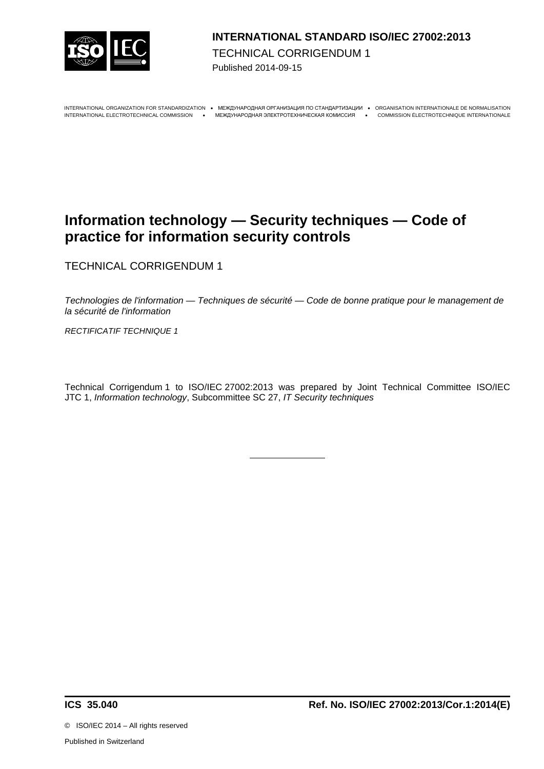

### **INTERNATIONAL STANDARD ISO/IEC 27002:2013**  TECHNICAL CORRIGENDUM 1 Published 2014-09-15

INTERNATIONAL ORGANIZATION FOR STANDARDIZATION · MEЖДУНАРОДНАЯ ОРГАНИЗАЦИЯ ПО СТАНДАРТИЗАЦИИ · ORGANISATION INTERNATIONALE DE NORMALISATION

INTERNATIONAL ELECTROTECHNICAL COMMISSION МЕЖДУНАРОДНАЯ ЭЛЕКТРОТЕХНИЧЕСКАЯ КОМИССИЯ COMMISSION ÉLECTROTECHNIQUE INTERNATIONALE

# **Information technology — Security techniques — Code of practice for information security controls**

TECHNICAL CORRIGENDUM 1

*Technologies de l'information — Techniques de sécurité — Code de bonne pratique pour le management de la sécurité de l'information*

*RECTIFICATIF TECHNIQUE 1*

Technical Corrigendum 1 to ISO/IEC 27002:2013 was prepared by Joint Technical Committee ISO/IEC JTC 1, *Information technology*, Subcommittee SC 27, *IT Security techniques*

©ISO/IEC 2014 – All rights reserved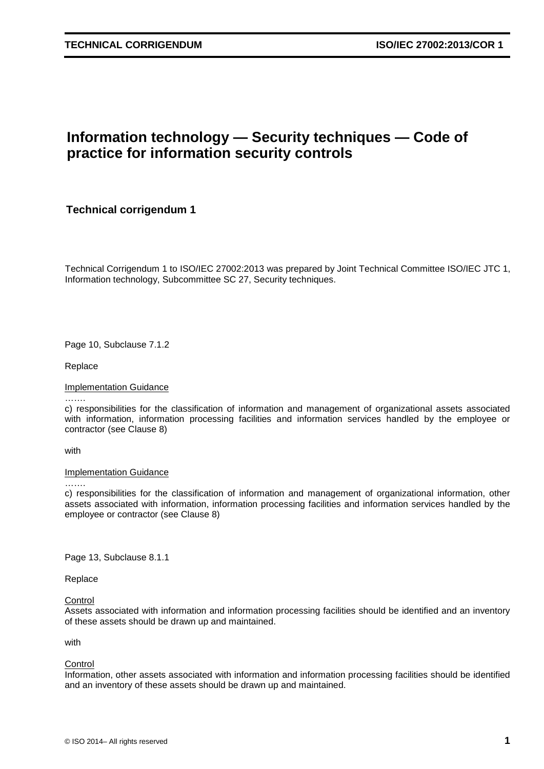## **Information technology — Security techniques — Code of practice for information security controls**

**Technical corrigendum 1**

Technical Corrigendum 1 to ISO/IEC 27002:2013 was prepared by Joint Technical Committee ISO/IEC JTC 1, Information technology, Subcommittee SC 27, Security techniques.

Page 10, Subclause 7.1.2

Replace

Implementation Guidance

……. c) responsibilities for the classification of information and management of organizational assets associated with information, information processing facilities and information services handled by the employee or contractor (see Clause 8)

with

#### **Implementation Guidance**

………

c) responsibilities for the classification of information and management of organizational information, other assets associated with information, information processing facilities and information services handled by the employee or contractor (see Clause 8)

Page 13, Subclause 8.1.1

Replace

**Control** 

Assets associated with information and information processing facilities should be identified and an inventory of these assets should be drawn up and maintained.

with

**Control** 

Information, other assets associated with information and information processing facilities should be identified and an inventory of these assets should be drawn up and maintained.